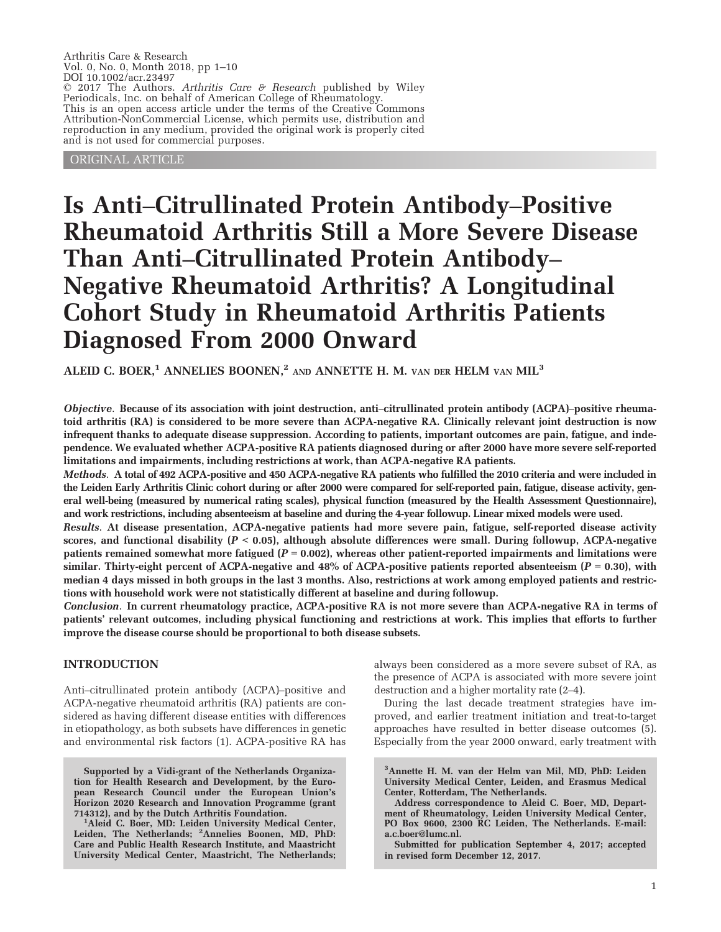Arthritis Care & Research Vol. 0, No. 0, Month 2018, pp 1–10 DOI 10.1002/acr.23497 © 2017 The Authors. Arthritis Care & Research published by Wiley Periodicals, Inc. on behalf of American College of Rheumatology. This is an open access article under the terms of the [Creative Commons](http://creativecommons.org/licenses/by-nc/4.0/) [Attribution-NonCommercial](http://creativecommons.org/licenses/by-nc/4.0/) License, which permits use, distribution and reproduction in any medium, provided the original work is properly cited and is not used for commercial purposes.

ORIGINAL ARTICLE

# Is Anti–Citrullinated Protein Antibody–Positive Rheumatoid Arthritis Still a More Severe Disease Than Anti–Citrullinated Protein Antibody– Negative Rheumatoid Arthritis? A Longitudinal Cohort Study in Rheumatoid Arthritis Patients Diagnosed From 2000 Onward

ALEID C. BOER,<sup>1</sup> ANNELIES BOONEN,<sup>2</sup> AND ANNETTE H. M. VAN DER HELM VAN MIL<sup>3</sup>

Objective. Because of its association with joint destruction, anti–citrullinated protein antibody (ACPA)–positive rheumatoid arthritis (RA) is considered to be more severe than ACPA-negative RA. Clinically relevant joint destruction is now infrequent thanks to adequate disease suppression. According to patients, important outcomes are pain, fatigue, and independence. We evaluated whether ACPA-positive RA patients diagnosed during or after 2000 have more severe self-reported limitations and impairments, including restrictions at work, than ACPA-negative RA patients.

Methods. A total of 492 ACPA-positive and 450 ACPA-negative RA patients who fulfilled the 2010 criteria and were included in the Leiden Early Arthritis Clinic cohort during or after 2000 were compared for self-reported pain, fatigue, disease activity, general well-being (measured by numerical rating scales), physical function (measured by the Health Assessment Questionnaire), and work restrictions, including absenteeism at baseline and during the 4-year followup. Linear mixed models were used.

Results. At disease presentation, ACPA-negative patients had more severe pain, fatigue, self-reported disease activity scores, and functional disability  $(P < 0.05)$ , although absolute differences were small. During followup, ACPA-negative patients remained somewhat more fatigued  $(P = 0.002)$ , whereas other patient-reported impairments and limitations were similar. Thirty-eight percent of ACPA-negative and 48% of ACPA-positive patients reported absenteeism ( $P = 0.30$ ), with median 4 days missed in both groups in the last 3 months. Also, restrictions at work among employed patients and restrictions with household work were not statistically different at baseline and during followup.

Conclusion. In current rheumatology practice, ACPA-positive RA is not more severe than ACPA-negative RA in terms of patients' relevant outcomes, including physical functioning and restrictions at work. This implies that efforts to further improve the disease course should be proportional to both disease subsets.

## INTRODUCTION

Anti–citrullinated protein antibody (ACPA)–positive and ACPA-negative rheumatoid arthritis (RA) patients are considered as having different disease entities with differences in etiopathology, as both subsets have differences in genetic and environmental risk factors (1). ACPA-positive RA has

Supported by a Vidi-grant of the Netherlands Organization for Health Research and Development, by the European Research Council under the European Union's Horizon 2020 Research and Innovation Programme (grant 714312), and by the Dutch Arthritis Foundation. <sup>1</sup>

<sup>1</sup>Aleid C. Boer, MD: Leiden University Medical Center, Leiden, The Netherlands; <sup>2</sup>Annelies Boonen, MD, PhD: Care and Public Health Research Institute, and Maastricht University Medical Center, Maastricht, The Netherlands;

always been considered as a more severe subset of RA, as the presence of ACPA is associated with more severe joint destruction and a higher mortality rate (2–4).

During the last decade treatment strategies have improved, and earlier treatment initiation and treat-to-target approaches have resulted in better disease outcomes (5). Especially from the year 2000 onward, early treatment with

3 Annette H. M. van der Helm van Mil, MD, PhD: Leiden University Medical Center, Leiden, and Erasmus Medical Center, Rotterdam, The Netherlands.

Address correspondence to Aleid C. Boer, MD, Department of Rheumatology, Leiden University Medical Center, PO Box 9600, 2300 RC Leiden, The Netherlands. E-mail: [a.c.boer@lumc.nl](mailto:a.c.boer@lumc.nl).

Submitted for publication September 4, 2017; accepted in revised form December 12, 2017.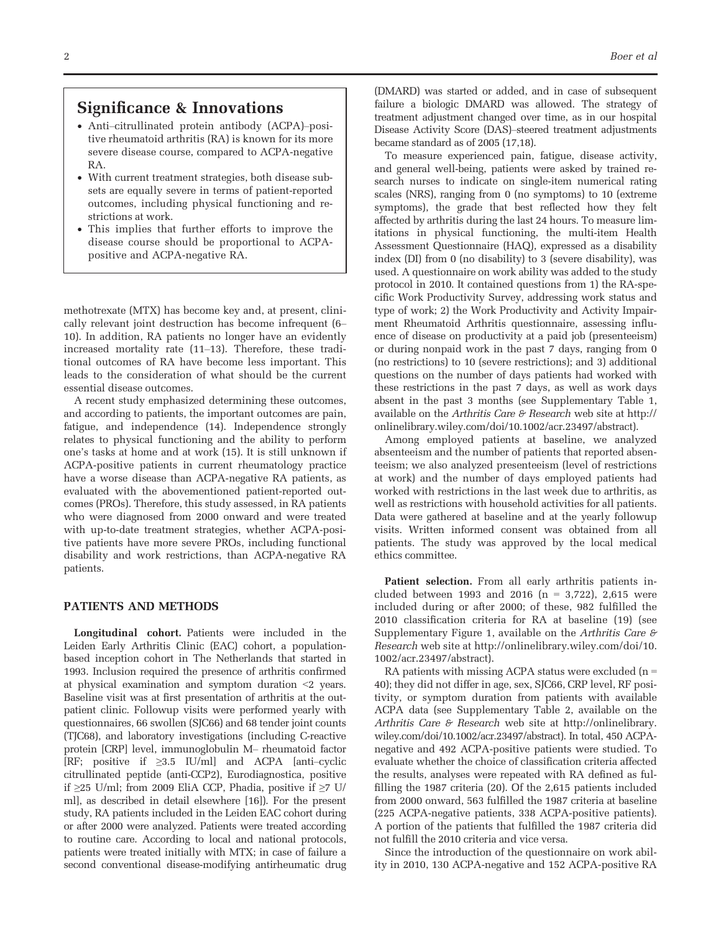## Significance & Innovations

- Anti–citrullinated protein antibody (ACPA)–positive rheumatoid arthritis (RA) is known for its more severe disease course, compared to ACPA-negative RA.
- With current treatment strategies, both disease subsets are equally severe in terms of patient-reported outcomes, including physical functioning and restrictions at work.
- This implies that further efforts to improve the disease course should be proportional to ACPApositive and ACPA-negative RA.

methotrexate (MTX) has become key and, at present, clinically relevant joint destruction has become infrequent (6– 10). In addition, RA patients no longer have an evidently increased mortality rate (11–13). Therefore, these traditional outcomes of RA have become less important. This leads to the consideration of what should be the current essential disease outcomes.

A recent study emphasized determining these outcomes, and according to patients, the important outcomes are pain, fatigue, and independence (14). Independence strongly relates to physical functioning and the ability to perform one's tasks at home and at work (15). It is still unknown if ACPA-positive patients in current rheumatology practice have a worse disease than ACPA-negative RA patients, as evaluated with the abovementioned patient-reported outcomes (PROs). Therefore, this study assessed, in RA patients who were diagnosed from 2000 onward and were treated with up-to-date treatment strategies, whether ACPA-positive patients have more severe PROs, including functional disability and work restrictions, than ACPA-negative RA patients.

#### PATIENTS AND METHODS

Longitudinal cohort. Patients were included in the Leiden Early Arthritis Clinic (EAC) cohort, a populationbased inception cohort in The Netherlands that started in 1993. Inclusion required the presence of arthritis confirmed at physical examination and symptom duration <2 years. Baseline visit was at first presentation of arthritis at the outpatient clinic. Followup visits were performed yearly with questionnaires, 66 swollen (SJC66) and 68 tender joint counts (TJC68), and laboratory investigations (including C-reactive protein [CRP] level, immunoglobulin M– rheumatoid factor [RF; positive if  $\geq 3.5$  IU/ml] and ACPA [anti–cyclic citrullinated peptide (anti-CCP2), Eurodiagnostica, positive if ≥25 U/ml; from 2009 EliA CCP, Phadia, positive if ≥7 U/ ml], as described in detail elsewhere [16]). For the present study, RA patients included in the Leiden EAC cohort during or after 2000 were analyzed. Patients were treated according to routine care. According to local and national protocols, patients were treated initially with MTX; in case of failure a second conventional disease-modifying antirheumatic drug (DMARD) was started or added, and in case of subsequent failure a biologic DMARD was allowed. The strategy of treatment adjustment changed over time, as in our hospital Disease Activity Score (DAS)–steered treatment adjustments became standard as of 2005 (17,18).

To measure experienced pain, fatigue, disease activity, and general well-being, patients were asked by trained research nurses to indicate on single-item numerical rating scales (NRS), ranging from 0 (no symptoms) to 10 (extreme symptoms), the grade that best reflected how they felt affected by arthritis during the last 24 hours. To measure limitations in physical functioning, the multi-item Health Assessment Questionnaire (HAQ), expressed as a disability index (DI) from 0 (no disability) to 3 (severe disability), was used. A questionnaire on work ability was added to the study protocol in 2010. It contained questions from 1) the RA-specific Work Productivity Survey, addressing work status and type of work; 2) the Work Productivity and Activity Impairment Rheumatoid Arthritis questionnaire, assessing influence of disease on productivity at a paid job (presenteeism) or during nonpaid work in the past 7 days, ranging from 0 (no restrictions) to 10 (severe restrictions); and 3) additional questions on the number of days patients had worked with these restrictions in the past 7 days, as well as work days absent in the past 3 months (see Supplementary Table 1, available on the Arthritis Care  $\mathcal E$  Research web site at [http://](http://onlinelibrary.wiley.com/doi/10.1002/acr.23497/abstract) [onlinelibrary.wiley.com/doi/10.1002/acr.23497/abstract](http://onlinelibrary.wiley.com/doi/10.1002/acr.23497/abstract)).

Among employed patients at baseline, we analyzed absenteeism and the number of patients that reported absenteeism; we also analyzed presenteeism (level of restrictions at work) and the number of days employed patients had worked with restrictions in the last week due to arthritis, as well as restrictions with household activities for all patients. Data were gathered at baseline and at the yearly followup visits. Written informed consent was obtained from all patients. The study was approved by the local medical ethics committee.

Patient selection. From all early arthritis patients included between 1993 and 2016 ( $n = 3,722$ ), 2,615 were included during or after 2000; of these, 982 fulfilled the 2010 classification criteria for RA at baseline (19) (see Supplementary Figure 1, available on the Arthritis Care  $\mathcal F$ Research web site at [http://onlinelibrary.wiley.com/doi/10.](http://onlinelibrary.wiley.com/doi/10.1002/acr.23497/abstract) [1002/acr.23497/abstract](http://onlinelibrary.wiley.com/doi/10.1002/acr.23497/abstract)).

RA patients with missing ACPA status were excluded  $(n =$ 40); they did not differ in age, sex, SJC66, CRP level, RF positivity, or symptom duration from patients with available ACPA data (see Supplementary Table 2, available on the Arthritis Care & Research web site at [http://onlinelibrary.](http://onlinelibrary.wiley.com/doi/10.1002/acr.23497/abstract) [wiley.com/doi/10.1002/acr.23497/abstract](http://onlinelibrary.wiley.com/doi/10.1002/acr.23497/abstract)). In total, 450 ACPAnegative and 492 ACPA-positive patients were studied. To evaluate whether the choice of classification criteria affected the results, analyses were repeated with RA defined as fulfilling the 1987 criteria (20). Of the 2,615 patients included from 2000 onward, 563 fulfilled the 1987 criteria at baseline (225 ACPA-negative patients, 338 ACPA-positive patients). A portion of the patients that fulfilled the 1987 criteria did not fulfill the 2010 criteria and vice versa.

Since the introduction of the questionnaire on work ability in 2010, 130 ACPA-negative and 152 ACPA-positive RA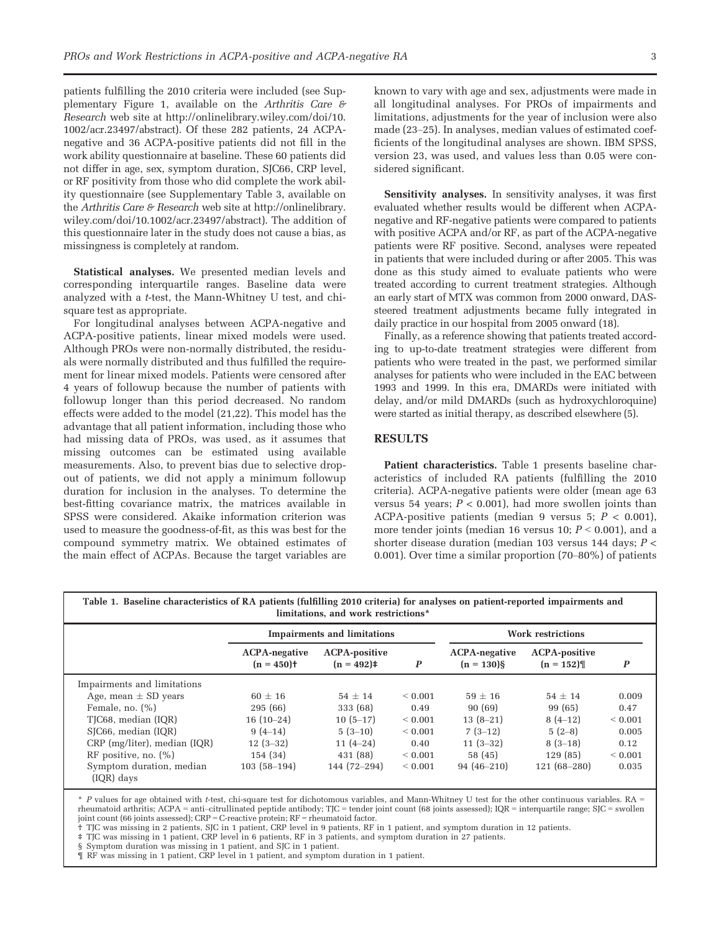patients fulfilling the 2010 criteria were included (see Supplementary Figure 1, available on the Arthritis Care  $\theta$ Research web site at [http://onlinelibrary.wiley.com/doi/10.](http://onlinelibrary.wiley.com/doi/10.1002/acr.23497/abstract) [1002/acr.23497/abstract\)](http://onlinelibrary.wiley.com/doi/10.1002/acr.23497/abstract). Of these 282 patients, 24 ACPAnegative and 36 ACPA-positive patients did not fill in the work ability questionnaire at baseline. These 60 patients did not differ in age, sex, symptom duration, SJC66, CRP level, or RF positivity from those who did complete the work ability questionnaire (see Supplementary Table 3, available on the Arthritis Care & Research web site at [http://onlinelibrary.](http://onlinelibrary.wiley.com/doi/10.1002/acr.23497/abstract) [wiley.com/doi/10.1002/acr.23497/abstract](http://onlinelibrary.wiley.com/doi/10.1002/acr.23497/abstract)). The addition of this questionnaire later in the study does not cause a bias, as missingness is completely at random.

Statistical analyses. We presented median levels and corresponding interquartile ranges. Baseline data were analyzed with a t-test, the Mann-Whitney U test, and chisquare test as appropriate.

For longitudinal analyses between ACPA-negative and ACPA-positive patients, linear mixed models were used. Although PROs were non-normally distributed, the residuals were normally distributed and thus fulfilled the requirement for linear mixed models. Patients were censored after 4 years of followup because the number of patients with followup longer than this period decreased. No random effects were added to the model (21,22). This model has the advantage that all patient information, including those who had missing data of PROs, was used, as it assumes that missing outcomes can be estimated using available measurements. Also, to prevent bias due to selective dropout of patients, we did not apply a minimum followup duration for inclusion in the analyses. To determine the best-fitting covariance matrix, the matrices available in SPSS were considered. Akaike information criterion was used to measure the goodness-of-fit, as this was best for the compound symmetry matrix. We obtained estimates of the main effect of ACPAs. Because the target variables are known to vary with age and sex, adjustments were made in all longitudinal analyses. For PROs of impairments and limitations, adjustments for the year of inclusion were also made (23–25). In analyses, median values of estimated coefficients of the longitudinal analyses are shown. IBM SPSS, version 23, was used, and values less than 0.05 were considered significant.

Sensitivity analyses. In sensitivity analyses, it was first evaluated whether results would be different when ACPAnegative and RF-negative patients were compared to patients with positive ACPA and/or RF, as part of the ACPA-negative patients were RF positive. Second, analyses were repeated in patients that were included during or after 2005. This was done as this study aimed to evaluate patients who were treated according to current treatment strategies. Although an early start of MTX was common from 2000 onward, DASsteered treatment adjustments became fully integrated in daily practice in our hospital from 2005 onward (18).

Finally, as a reference showing that patients treated according to up-to-date treatment strategies were different from patients who were treated in the past, we performed similar analyses for patients who were included in the EAC between 1993 and 1999. In this era, DMARDs were initiated with delay, and/or mild DMARDs (such as hydroxychloroquine) were started as initial therapy, as described elsewhere (5).

## **RESULTS**

Patient characteristics. Table 1 presents baseline characteristics of included RA patients (fulfilling the 2010 criteria). ACPA-negative patients were older (mean age 63 versus 54 years;  $P < 0.001$ ), had more swollen joints than ACPA-positive patients (median 9 versus 5;  $P < 0.001$ ), more tender joints (median 16 versus 10;  $P < 0.001$ ), and a shorter disease duration (median 103 versus 144 days; P < 0.001). Over time a similar proportion (70–80%) of patients

Table 1. Baseline characteristics of RA patients (fulfilling 2010 criteria) for analyses on patient-reported impairments and limitations, and work restrictions\*

|                                        |                                     | <b>Impairments and limitations</b>  |                  |                                       | <b>Work restrictions</b>            |                  |  |
|----------------------------------------|-------------------------------------|-------------------------------------|------------------|---------------------------------------|-------------------------------------|------------------|--|
|                                        | <b>ACPA-negative</b><br>$(n = 450)$ | <b>ACPA-positive</b><br>$(n = 492)$ | $\boldsymbol{P}$ | <b>ACPA-negative</b><br>$(n = 130)$ § | <b>ACPA-positive</b><br>$(n = 152)$ | $\boldsymbol{P}$ |  |
| Impairments and limitations            |                                     |                                     |                  |                                       |                                     |                  |  |
| Age, mean $\pm$ SD years               | $60 + 16$                           | $54 + 14$                           | ${}_{0.001}$     | $59 + 16$                             | $54 + 14$                           | 0.009            |  |
| Female, no. $(\%)$                     | 295(66)                             | 333 (68)                            | 0.49             | 90 (69)                               | 99 (65)                             | 0.47             |  |
| TJC68, median (IQR)                    | $16(10-24)$                         | $10(5-17)$                          | ${}< 0.001$      | $13(8-21)$                            | $8(4-12)$                           | ${}< 0.001$      |  |
| SJC66, median (IQR)                    | $9(4-14)$                           | $5(3-10)$                           | ${}_{0.001}$     | $7(3-12)$                             | $5(2-8)$                            | 0.005            |  |
| $CRP$ (mg/liter), median (IQR)         | $12(3-32)$                          | $11(4-24)$                          | 0.40             | $11(3-32)$                            | $8(3-18)$                           | 0.12             |  |
| RF positive, no. $(\%)$                | 154(34)                             | 431 (88)                            | ${}< 0.001$      | 58(45)                                | 129(85)                             | ${}< 0.001$      |  |
| Symptom duration, median<br>(IQR) days | $103(58-194)$                       | 144 (72-294)                        | ${}< 0.001$      | $94(46 - 210)$                        | $121(68 - 280)$                     | 0.035            |  |

\* P values for age obtained with t-test, chi-square test for dichotomous variables, and Mann-Whitney U test for the other continuous variables. RA = rheumatoid arthritis; ACPA = anti–citrullinated peptide antibody; TJC = tender joint count (68 joints assessed); IQR = interquartile range; SJC = swollen<br>joint count (66 joints assessed); CRP = C-reactive protein; RF = rhe

† TJC was missing in 2 patients, SJC in 1 patient, CRP level in 9 patients, RF in 1 patient, and symptom duration in 12 patients.

‡ TJC was missing in 1 patient, CRP level in 6 patients, RF in 3 patients, and symptom duration in 27 patients.

§ Symptom duration was missing in 1 patient, and SJC in 1 patient.

¶ RF was missing in 1 patient, CRP level in 1 patient, and symptom duration in 1 patient.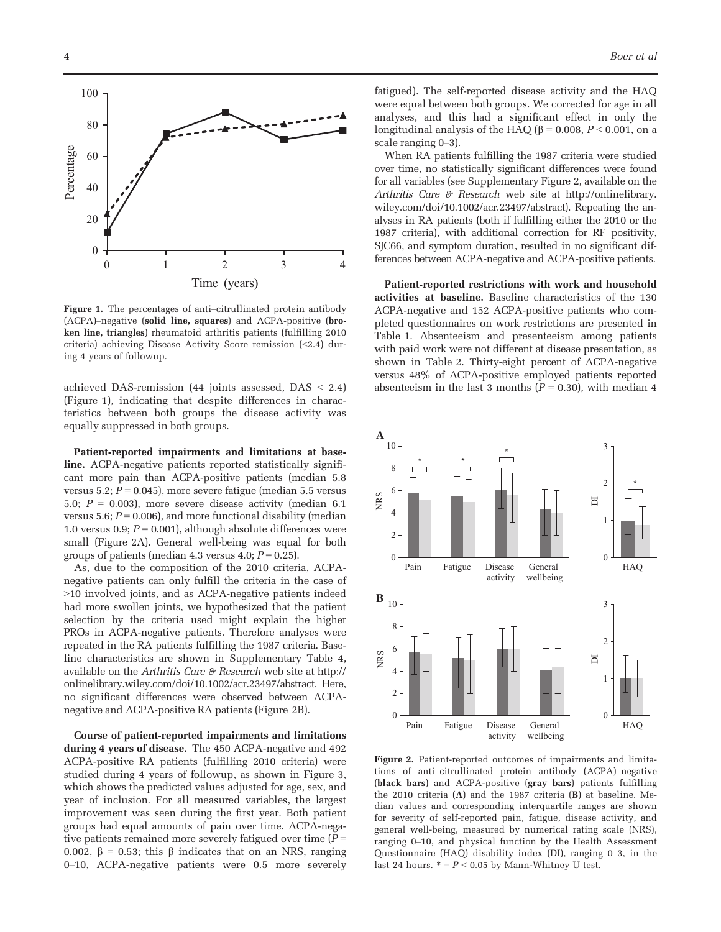

Figure 1. The percentages of anti–citrullinated protein antibody (ACPA)–negative (solid line, squares) and ACPA-positive (broken line, triangles) rheumatoid arthritis patients (fulfilling 2010 criteria) achieving Disease Activity Score remission (<2.4) during 4 years of followup.

achieved DAS-remission (44 joints assessed, DAS < 2.4) (Figure 1), indicating that despite differences in characteristics between both groups the disease activity was equally suppressed in both groups.

Patient-reported impairments and limitations at baseline. ACPA-negative patients reported statistically significant more pain than ACPA-positive patients (median 5.8 versus 5.2;  $P = 0.045$ ), more severe fatigue (median 5.5 versus 5.0;  $P = 0.003$ ), more severe disease activity (median 6.1 versus 5.6;  $P = 0.006$ ), and more functional disability (median 1.0 versus 0.9;  $P = 0.001$ ), although absolute differences were small (Figure 2A). General well-being was equal for both groups of patients (median 4.3 versus 4.0;  $P = 0.25$ ).

As, due to the composition of the 2010 criteria, ACPAnegative patients can only fulfill the criteria in the case of >10 involved joints, and as ACPA-negative patients indeed had more swollen joints, we hypothesized that the patient selection by the criteria used might explain the higher PROs in ACPA-negative patients. Therefore analyses were repeated in the RA patients fulfilling the 1987 criteria. Baseline characteristics are shown in Supplementary Table 4, available on the Arthritis Care  $\theta$  Research web site at [http://](http://onlinelibrary.wiley.com/doi/10.1002/acr.23497/abstract) [onlinelibrary.wiley.com/doi/10.1002/acr.23497/abstract](http://onlinelibrary.wiley.com/doi/10.1002/acr.23497/abstract). Here, no significant differences were observed between ACPAnegative and ACPA-positive RA patients (Figure 2B).

Course of patient-reported impairments and limitations during 4 years of disease. The 450 ACPA-negative and 492 ACPA-positive RA patients (fulfilling 2010 criteria) were studied during 4 years of followup, as shown in Figure 3, which shows the predicted values adjusted for age, sex, and year of inclusion. For all measured variables, the largest improvement was seen during the first year. Both patient groups had equal amounts of pain over time. ACPA-negative patients remained more severely fatigued over time  $(P =$ 0.002,  $\beta$  = 0.53; this  $\beta$  indicates that on an NRS, ranging 0–10, ACPA-negative patients were 0.5 more severely

fatigued). The self-reported disease activity and the HAQ were equal between both groups. We corrected for age in all analyses, and this had a significant effect in only the longitudinal analysis of the HAQ ( $\beta$  = 0.008, P < 0.001, on a scale ranging 0–3).

When RA patients fulfilling the 1987 criteria were studied over time, no statistically significant differences were found for all variables (see Supplementary Figure 2, available on the Arthritis Care & Research web site at [http://onlinelibrary.](http://onlinelibrary.wiley.com/doi/10.1002/acr.23497/abstract) [wiley.com/doi/10.1002/acr.23497/abstract](http://onlinelibrary.wiley.com/doi/10.1002/acr.23497/abstract)). Repeating the analyses in RA patients (both if fulfilling either the 2010 or the 1987 criteria), with additional correction for RF positivity, SJC66, and symptom duration, resulted in no significant differences between ACPA-negative and ACPA-positive patients.

Patient-reported restrictions with work and household activities at baseline. Baseline characteristics of the 130 ACPA-negative and 152 ACPA-positive patients who completed questionnaires on work restrictions are presented in Table 1. Absenteeism and presenteeism among patients with paid work were not different at disease presentation, as shown in Table 2. Thirty-eight percent of ACPA-negative versus 48% of ACPA-positive employed patients reported absenteeism in the last 3 months ( $P = 0.30$ ), with median 4



Figure 2. Patient-reported outcomes of impairments and limitations of anti–citrullinated protein antibody (ACPA)–negative (black bars) and ACPA-positive (gray bars) patients fulfilling the 2010 criteria (A) and the 1987 criteria (B) at baseline. Median values and corresponding interquartile ranges are shown for severity of self-reported pain, fatigue, disease activity, and general well-being, measured by numerical rating scale (NRS), ranging 0–10, and physical function by the Health Assessment Questionnaire (HAQ) disability index (DI), ranging 0–3, in the last 24 hours.  $* = P < 0.05$  by Mann-Whitney U test.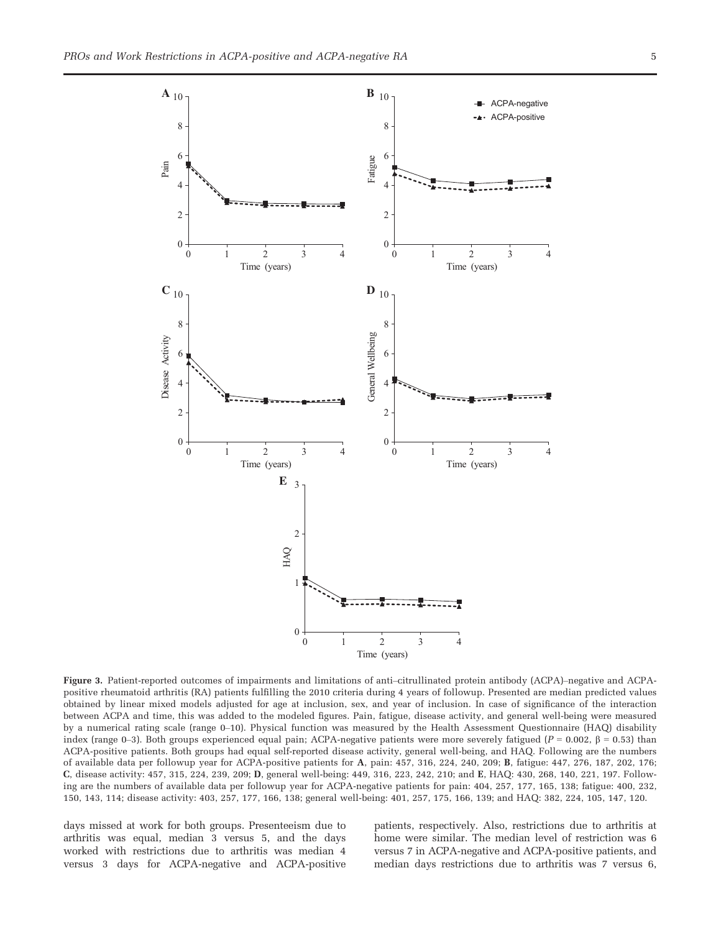

Figure 3. Patient-reported outcomes of impairments and limitations of anti–citrullinated protein antibody (ACPA)–negative and ACPApositive rheumatoid arthritis (RA) patients fulfilling the 2010 criteria during 4 years of followup. Presented are median predicted values obtained by linear mixed models adjusted for age at inclusion, sex, and year of inclusion. In case of significance of the interaction between ACPA and time, this was added to the modeled figures. Pain, fatigue, disease activity, and general well-being were measured by a numerical rating scale (range 0–10). Physical function was measured by the Health Assessment Questionnaire (HAQ) disability index (range 0–3). Both groups experienced equal pain; ACPA-negative patients were more severely fatigued ( $P = 0.002$ ,  $\beta = 0.53$ ) than ACPA-positive patients. Both groups had equal self-reported disease activity, general well-being, and HAQ. Following are the numbers of available data per followup year for ACPA-positive patients for A, pain: 457, 316, 224, 240, 209; B, fatigue: 447, 276, 187, 202, 176; C, disease activity: 457, 315, 224, 239, 209; D, general well-being: 449, 316, 223, 242, 210; and E, HAQ: 430, 268, 140, 221, 197. Following are the numbers of available data per followup year for ACPA-negative patients for pain: 404, 257, 177, 165, 138; fatigue: 400, 232, 150, 143, 114; disease activity: 403, 257, 177, 166, 138; general well-being: 401, 257, 175, 166, 139; and HAQ: 382, 224, 105, 147, 120.

days missed at work for both groups. Presenteeism due to arthritis was equal, median 3 versus 5, and the days worked with restrictions due to arthritis was median 4 versus 3 days for ACPA-negative and ACPA-positive

patients, respectively. Also, restrictions due to arthritis at home were similar. The median level of restriction was 6 versus 7 in ACPA-negative and ACPA-positive patients, and median days restrictions due to arthritis was 7 versus 6,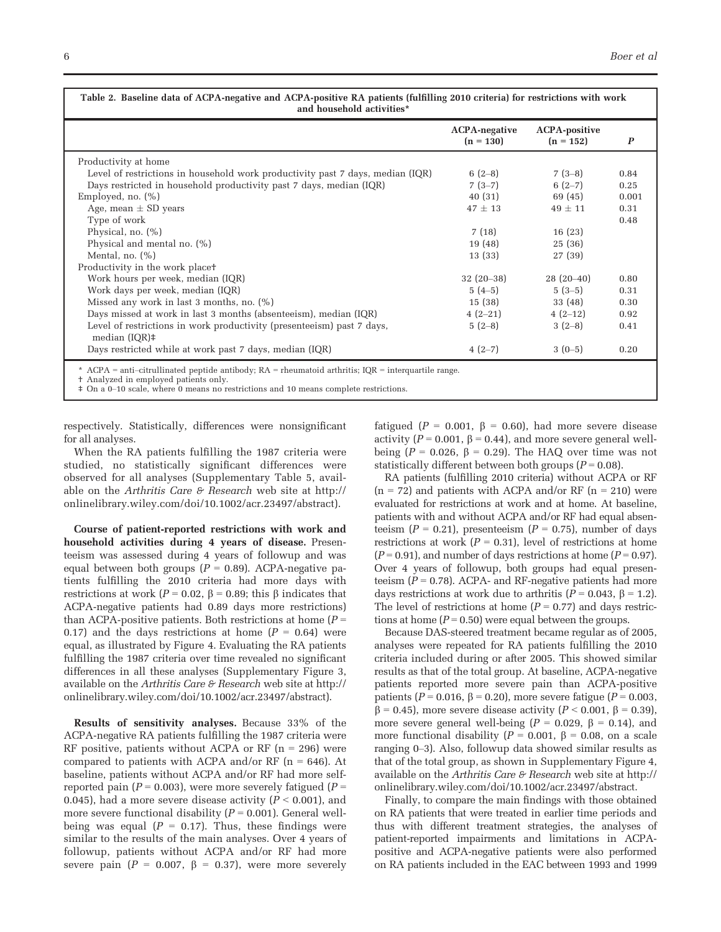|                                                                                         | <b>ACPA-negative</b><br>$(n = 130)$ | <b>ACPA-positive</b><br>$(n = 152)$ | $\boldsymbol{P}$ |
|-----------------------------------------------------------------------------------------|-------------------------------------|-------------------------------------|------------------|
| Productivity at home                                                                    |                                     |                                     |                  |
| Level of restrictions in household work productivity past 7 days, median (IQR)          | $6(2-8)$                            | $7(3-8)$                            | 0.84             |
| Days restricted in household productivity past 7 days, median (IQR)                     | $7(3-7)$                            | $6(2-7)$                            | 0.25             |
| Employed, no. $(\%)$                                                                    | 40(31)                              | 69 (45)                             | 0.001            |
| Age, mean $\pm$ SD years                                                                | $47 \pm 13$                         | $49 \pm 11$                         | 0.31             |
| Type of work                                                                            |                                     |                                     | 0.48             |
| Physical, no. $(\% )$                                                                   | 7(18)                               | 16(23)                              |                  |
| Physical and mental no. $(\%)$                                                          | 19 (48)                             | 25(36)                              |                  |
| Mental, no. $(\% )$                                                                     | 13 (33)                             | 27 (39)                             |                  |
| Productivity in the work placet                                                         |                                     |                                     |                  |
| Work hours per week, median (IQR)                                                       | $32(20-38)$                         | $28(20-40)$                         | 0.80             |
| Work days per week, median (IQR)                                                        | $5(4-5)$                            | $5(3-5)$                            | 0.31             |
| Missed any work in last 3 months, no. $(\%)$                                            | 15(38)                              | 33 (48)                             | 0.30             |
| Days missed at work in last 3 months (absenteeism), median (IQR)                        | $4(2-21)$                           | $4(2-12)$                           | 0.92             |
| Level of restrictions in work productivity (presenteeism) past 7 days,<br>median (IQR)‡ | $5(2-8)$                            | $3(2-8)$                            | 0.41             |
| Days restricted while at work past 7 days, median (IQR)                                 | $4(2-7)$                            | $3(0-5)$                            | 0.20             |

Analyzed in employed patients only. ‡ On a 0–10 scale, where 0 means no restrictions and 10 means complete restrictions.

respectively. Statistically, differences were nonsignificant for all analyses.

When the RA patients fulfilling the 1987 criteria were studied, no statistically significant differences were observed for all analyses (Supplementary Table 5, available on the Arthritis Care & Research web site at [http://](http://onlinelibrary.wiley.com/doi/10.1002/acr.23497/abstract) [onlinelibrary.wiley.com/doi/10.1002/acr.23497/abstract](http://onlinelibrary.wiley.com/doi/10.1002/acr.23497/abstract)).

Course of patient-reported restrictions with work and household activities during 4 years of disease. Presenteeism was assessed during 4 years of followup and was equal between both groups ( $P = 0.89$ ). ACPA-negative patients fulfilling the 2010 criteria had more days with restrictions at work ( $P = 0.02$ ,  $\beta = 0.89$ ; this  $\beta$  indicates that ACPA-negative patients had 0.89 days more restrictions) than ACPA-positive patients. Both restrictions at home  $(P =$ 0.17) and the days restrictions at home  $(P = 0.64)$  were equal, as illustrated by Figure 4. Evaluating the RA patients fulfilling the 1987 criteria over time revealed no significant differences in all these analyses (Supplementary Figure 3, available on the Arthritis Care  $\mathcal F$  Research web site at [http://](http://onlinelibrary.wiley.com/doi/10.1002/acr.23497/abstract) [onlinelibrary.wiley.com/doi/10.1002/acr.23497/abstract\)](http://onlinelibrary.wiley.com/doi/10.1002/acr.23497/abstract).

Results of sensitivity analyses. Because 33% of the ACPA-negative RA patients fulfilling the 1987 criteria were RF positive, patients without ACPA or RF  $(n = 296)$  were compared to patients with ACPA and/or RF  $(n = 646)$ . At baseline, patients without ACPA and/or RF had more selfreported pain ( $P = 0.003$ ), were more severely fatigued ( $P =$ 0.045), had a more severe disease activity  $(P < 0.001)$ , and more severe functional disability  $(P = 0.001)$ . General wellbeing was equal ( $P = 0.17$ ). Thus, these findings were similar to the results of the main analyses. Over 4 years of followup, patients without ACPA and/or RF had more severe pain ( $P = 0.007$ ,  $\beta = 0.37$ ), were more severely fatigued ( $P = 0.001$ ,  $\beta = 0.60$ ), had more severe disease activity ( $P = 0.001$ ,  $\beta = 0.44$ ), and more severe general wellbeing ( $P = 0.026$ ,  $\beta = 0.29$ ). The HAQ over time was not statistically different between both groups ( $P = 0.08$ ).

RA patients (fulfilling 2010 criteria) without ACPA or RF  $(n = 72)$  and patients with ACPA and/or RF  $(n = 210)$  were evaluated for restrictions at work and at home. At baseline, patients with and without ACPA and/or RF had equal absenteeism ( $P = 0.21$ ), presenteeism ( $P = 0.75$ ), number of days restrictions at work  $(P = 0.31)$ , level of restrictions at home  $(P = 0.91)$ , and number of days restrictions at home  $(P = 0.97)$ . Over 4 years of followup, both groups had equal presenteeism  $(P = 0.78)$ . ACPA- and RF-negative patients had more days restrictions at work due to arthritis ( $P = 0.043$ ,  $\beta = 1.2$ ). The level of restrictions at home  $(P = 0.77)$  and days restrictions at home  $(P = 0.50)$  were equal between the groups.

Because DAS-steered treatment became regular as of 2005, analyses were repeated for RA patients fulfilling the 2010 criteria included during or after 2005. This showed similar results as that of the total group. At baseline, ACPA-negative patients reported more severe pain than ACPA-positive patients ( $P = 0.016$ ,  $\beta = 0.20$ ), more severe fatigue ( $P = 0.003$ ,  $\beta$  = 0.45), more severe disease activity (P < 0.001,  $\beta$  = 0.39), more severe general well-being ( $P = 0.029$ ,  $\beta = 0.14$ ), and more functional disability ( $P = 0.001$ ,  $\beta = 0.08$ , on a scale ranging 0–3). Also, followup data showed similar results as that of the total group, as shown in Supplementary Figure 4, available on the Arthritis Care  $\mathcal F$  Research web site at [http://](http://onlinelibrary.wiley.com/doi/10.1002/acr.23497/abstract) [onlinelibrary.wiley.com/doi/10.1002/acr.23497/abstract](http://onlinelibrary.wiley.com/doi/10.1002/acr.23497/abstract).

Finally, to compare the main findings with those obtained on RA patients that were treated in earlier time periods and thus with different treatment strategies, the analyses of patient-reported impairments and limitations in ACPApositive and ACPA-negative patients were also performed on RA patients included in the EAC between 1993 and 1999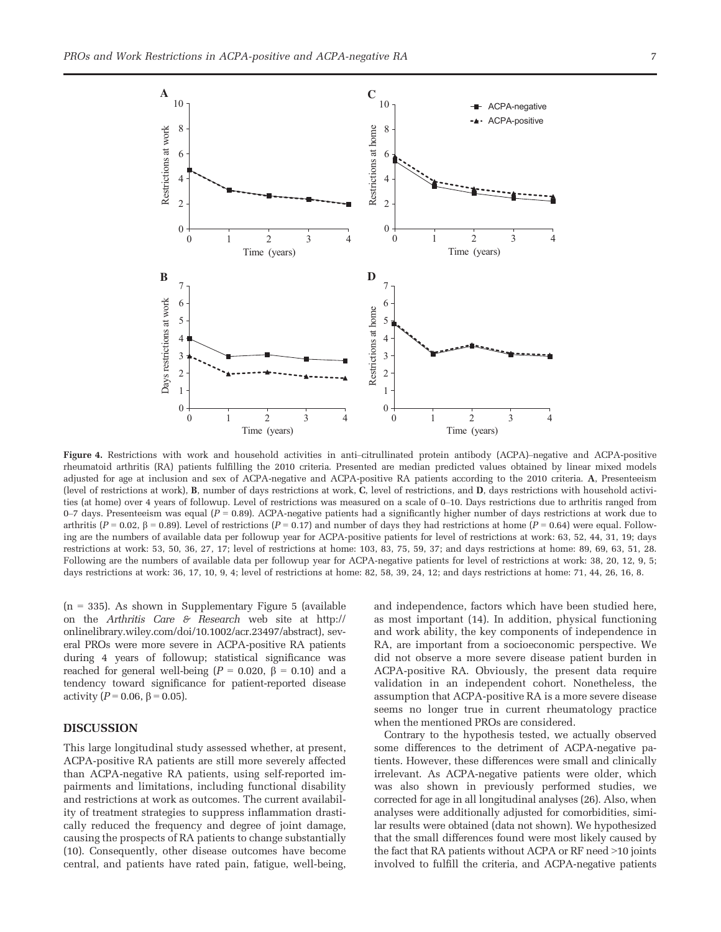

Figure 4. Restrictions with work and household activities in anti–citrullinated protein antibody (ACPA)–negative and ACPA-positive rheumatoid arthritis (RA) patients fulfilling the 2010 criteria. Presented are median predicted values obtained by linear mixed models adjusted for age at inclusion and sex of ACPA-negative and ACPA-positive RA patients according to the 2010 criteria. A, Presenteeism (level of restrictions at work), B, number of days restrictions at work, C, level of restrictions, and D, days restrictions with household activities (at home) over 4 years of followup. Level of restrictions was measured on a scale of 0–10. Days restrictions due to arthritis ranged from 0–7 days. Presenteeism was equal  $(P = 0.89)$ . ACPA-negative patients had a significantly higher number of days restrictions at work due to arthritis ( $P = 0.02$ ,  $\beta = 0.89$ ). Level of restrictions ( $P = 0.17$ ) and number of days they had restrictions at home ( $P = 0.64$ ) were equal. Following are the numbers of available data per followup year for ACPA-positive patients for level of restrictions at work: 63, 52, 44, 31, 19; days restrictions at work: 53, 50, 36, 27, 17; level of restrictions at home: 103, 83, 75, 59, 37; and days restrictions at home: 89, 69, 63, 51, 28. Following are the numbers of available data per followup year for ACPA-negative patients for level of restrictions at work: 38, 20, 12, 9, 5; days restrictions at work: 36, 17, 10, 9, 4; level of restrictions at home: 82, 58, 39, 24, 12; and days restrictions at home: 71, 44, 26, 16, 8.

 $(n = 335)$ . As shown in Supplementary Figure 5 (available on the Arthritis Care  $\mathcal F$  Research web site at [http://](http://onlinelibrary.wiley.com/doi/10.1002/acr.23497/abstract) [onlinelibrary.wiley.com/doi/10.1002/acr.23497/abstract](http://onlinelibrary.wiley.com/doi/10.1002/acr.23497/abstract)), several PROs were more severe in ACPA-positive RA patients during 4 years of followup; statistical significance was reached for general well-being ( $P = 0.020$ ,  $\beta = 0.10$ ) and a tendency toward significance for patient-reported disease activity ( $P = 0.06$ ,  $\beta = 0.05$ ).

### DISCUSSION

This large longitudinal study assessed whether, at present, ACPA-positive RA patients are still more severely affected than ACPA-negative RA patients, using self-reported impairments and limitations, including functional disability and restrictions at work as outcomes. The current availability of treatment strategies to suppress inflammation drastically reduced the frequency and degree of joint damage, causing the prospects of RA patients to change substantially (10). Consequently, other disease outcomes have become central, and patients have rated pain, fatigue, well-being, and independence, factors which have been studied here, as most important (14). In addition, physical functioning and work ability, the key components of independence in RA, are important from a socioeconomic perspective. We did not observe a more severe disease patient burden in ACPA-positive RA. Obviously, the present data require validation in an independent cohort. Nonetheless, the assumption that ACPA-positive RA is a more severe disease seems no longer true in current rheumatology practice when the mentioned PROs are considered.

Contrary to the hypothesis tested, we actually observed some differences to the detriment of ACPA-negative patients. However, these differences were small and clinically irrelevant. As ACPA-negative patients were older, which was also shown in previously performed studies, we corrected for age in all longitudinal analyses (26). Also, when analyses were additionally adjusted for comorbidities, similar results were obtained (data not shown). We hypothesized that the small differences found were most likely caused by the fact that RA patients without ACPA or RF need >10 joints involved to fulfill the criteria, and ACPA-negative patients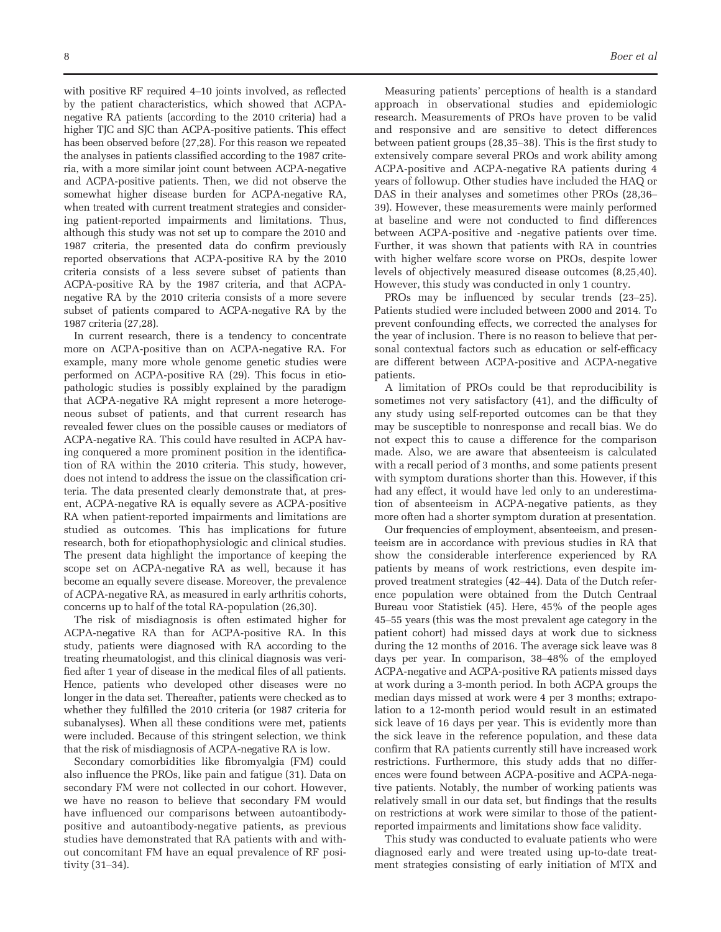with positive RF required 4–10 joints involved, as reflected by the patient characteristics, which showed that ACPAnegative RA patients (according to the 2010 criteria) had a higher TJC and SJC than ACPA-positive patients. This effect has been observed before (27,28). For this reason we repeated the analyses in patients classified according to the 1987 criteria, with a more similar joint count between ACPA-negative and ACPA-positive patients. Then, we did not observe the somewhat higher disease burden for ACPA-negative RA, when treated with current treatment strategies and considering patient-reported impairments and limitations. Thus, although this study was not set up to compare the 2010 and 1987 criteria, the presented data do confirm previously reported observations that ACPA-positive RA by the 2010 criteria consists of a less severe subset of patients than ACPA-positive RA by the 1987 criteria, and that ACPAnegative RA by the 2010 criteria consists of a more severe subset of patients compared to ACPA-negative RA by the 1987 criteria (27,28).

In current research, there is a tendency to concentrate more on ACPA-positive than on ACPA-negative RA. For example, many more whole genome genetic studies were performed on ACPA-positive RA (29). This focus in etiopathologic studies is possibly explained by the paradigm that ACPA-negative RA might represent a more heterogeneous subset of patients, and that current research has revealed fewer clues on the possible causes or mediators of ACPA-negative RA. This could have resulted in ACPA having conquered a more prominent position in the identification of RA within the 2010 criteria. This study, however, does not intend to address the issue on the classification criteria. The data presented clearly demonstrate that, at present, ACPA-negative RA is equally severe as ACPA-positive RA when patient-reported impairments and limitations are studied as outcomes. This has implications for future research, both for etiopathophysiologic and clinical studies. The present data highlight the importance of keeping the scope set on ACPA-negative RA as well, because it has become an equally severe disease. Moreover, the prevalence of ACPA-negative RA, as measured in early arthritis cohorts, concerns up to half of the total RA-population (26,30).

The risk of misdiagnosis is often estimated higher for ACPA-negative RA than for ACPA-positive RA. In this study, patients were diagnosed with RA according to the treating rheumatologist, and this clinical diagnosis was verified after 1 year of disease in the medical files of all patients. Hence, patients who developed other diseases were no longer in the data set. Thereafter, patients were checked as to whether they fulfilled the 2010 criteria (or 1987 criteria for subanalyses). When all these conditions were met, patients were included. Because of this stringent selection, we think that the risk of misdiagnosis of ACPA-negative RA is low.

Secondary comorbidities like fibromyalgia (FM) could also influence the PROs, like pain and fatigue (31). Data on secondary FM were not collected in our cohort. However, we have no reason to believe that secondary FM would have influenced our comparisons between autoantibodypositive and autoantibody-negative patients, as previous studies have demonstrated that RA patients with and without concomitant FM have an equal prevalence of RF positivity (31–34).

Measuring patients' perceptions of health is a standard approach in observational studies and epidemiologic research. Measurements of PROs have proven to be valid and responsive and are sensitive to detect differences between patient groups (28,35–38). This is the first study to extensively compare several PROs and work ability among ACPA-positive and ACPA-negative RA patients during 4 years of followup. Other studies have included the HAQ or DAS in their analyses and sometimes other PROs (28,36– 39). However, these measurements were mainly performed at baseline and were not conducted to find differences between ACPA-positive and -negative patients over time. Further, it was shown that patients with RA in countries with higher welfare score worse on PROs, despite lower levels of objectively measured disease outcomes (8,25,40). However, this study was conducted in only 1 country.

PROs may be influenced by secular trends (23–25). Patients studied were included between 2000 and 2014. To prevent confounding effects, we corrected the analyses for the year of inclusion. There is no reason to believe that personal contextual factors such as education or self-efficacy are different between ACPA-positive and ACPA-negative patients.

A limitation of PROs could be that reproducibility is sometimes not very satisfactory (41), and the difficulty of any study using self-reported outcomes can be that they may be susceptible to nonresponse and recall bias. We do not expect this to cause a difference for the comparison made. Also, we are aware that absenteeism is calculated with a recall period of 3 months, and some patients present with symptom durations shorter than this. However, if this had any effect, it would have led only to an underestimation of absenteeism in ACPA-negative patients, as they more often had a shorter symptom duration at presentation.

Our frequencies of employment, absenteeism, and presenteeism are in accordance with previous studies in RA that show the considerable interference experienced by RA patients by means of work restrictions, even despite improved treatment strategies (42–44). Data of the Dutch reference population were obtained from the Dutch Centraal Bureau voor Statistiek (45). Here, 45% of the people ages 45–55 years (this was the most prevalent age category in the patient cohort) had missed days at work due to sickness during the 12 months of 2016. The average sick leave was 8 days per year. In comparison, 38–48% of the employed ACPA-negative and ACPA-positive RA patients missed days at work during a 3-month period. In both ACPA groups the median days missed at work were 4 per 3 months; extrapolation to a 12-month period would result in an estimated sick leave of 16 days per year. This is evidently more than the sick leave in the reference population, and these data confirm that RA patients currently still have increased work restrictions. Furthermore, this study adds that no differences were found between ACPA-positive and ACPA-negative patients. Notably, the number of working patients was relatively small in our data set, but findings that the results on restrictions at work were similar to those of the patientreported impairments and limitations show face validity.

This study was conducted to evaluate patients who were diagnosed early and were treated using up-to-date treatment strategies consisting of early initiation of MTX and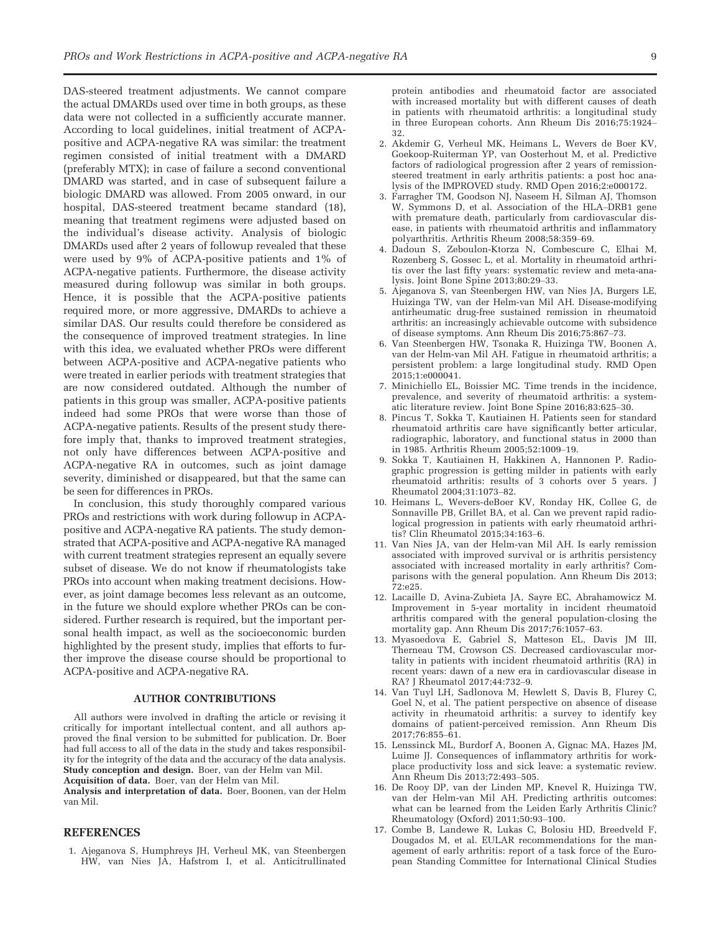DAS-steered treatment adjustments. We cannot compare the actual DMARDs used over time in both groups, as these data were not collected in a sufficiently accurate manner. According to local guidelines, initial treatment of ACPApositive and ACPA-negative RA was similar: the treatment regimen consisted of initial treatment with a DMARD (preferably MTX); in case of failure a second conventional DMARD was started, and in case of subsequent failure a biologic DMARD was allowed. From 2005 onward, in our hospital, DAS-steered treatment became standard (18), meaning that treatment regimens were adjusted based on the individual's disease activity. Analysis of biologic DMARDs used after 2 years of followup revealed that these were used by 9% of ACPA-positive patients and 1% of ACPA-negative patients. Furthermore, the disease activity measured during followup was similar in both groups. Hence, it is possible that the ACPA-positive patients required more, or more aggressive, DMARDs to achieve a similar DAS. Our results could therefore be considered as the consequence of improved treatment strategies. In line with this idea, we evaluated whether PROs were different between ACPA-positive and ACPA-negative patients who were treated in earlier periods with treatment strategies that are now considered outdated. Although the number of patients in this group was smaller, ACPA-positive patients indeed had some PROs that were worse than those of ACPA-negative patients. Results of the present study therefore imply that, thanks to improved treatment strategies, not only have differences between ACPA-positive and ACPA-negative RA in outcomes, such as joint damage severity, diminished or disappeared, but that the same can be seen for differences in PROs.

In conclusion, this study thoroughly compared various PROs and restrictions with work during followup in ACPApositive and ACPA-negative RA patients. The study demonstrated that ACPA-positive and ACPA-negative RA managed with current treatment strategies represent an equally severe subset of disease. We do not know if rheumatologists take PROs into account when making treatment decisions. However, as joint damage becomes less relevant as an outcome, in the future we should explore whether PROs can be considered. Further research is required, but the important personal health impact, as well as the socioeconomic burden highlighted by the present study, implies that efforts to further improve the disease course should be proportional to ACPA-positive and ACPA-negative RA.

#### AUTHOR CONTRIBUTIONS

All authors were involved in drafting the article or revising it critically for important intellectual content, and all authors approved the final version to be submitted for publication. Dr. Boer had full access to all of the data in the study and takes responsibility for the integrity of the data and the accuracy of the data analysis. Study conception and design. Boer, van der Helm van Mil.

Acquisition of data. Boer, van der Helm van Mil.

Analysis and interpretation of data. Boer, Boonen, van der Helm van Mil.

#### REFERENCES

1. Ajeganova S, Humphreys JH, Verheul MK, van Steenbergen HW, van Nies JA, Hafstrom I, et al. Anticitrullinated protein antibodies and rheumatoid factor are associated with increased mortality but with different causes of death in patients with rheumatoid arthritis: a longitudinal study in three European cohorts. Ann Rheum Dis 2016;75:1924– 32.

- 2. Akdemir G, Verheul MK, Heimans L, Wevers de Boer KV, Goekoop-Ruiterman YP, van Oosterhout M, et al. Predictive factors of radiological progression after 2 years of remissionsteered treatment in early arthritis patients: a post hoc analysis of the IMPROVED study. RMD Open 2016;2:e000172.
- 3. Farragher TM, Goodson NJ, Naseem H, Silman AJ, Thomson W, Symmons D, et al. Association of the HLA–DRB1 gene with premature death, particularly from cardiovascular disease, in patients with rheumatoid arthritis and inflammatory polyarthritis. Arthritis Rheum 2008;58:359–69.
- 4. Dadoun S, Zeboulon-Ktorza N, Combescure C, Elhai M, Rozenberg S, Gossec L, et al. Mortality in rheumatoid arthritis over the last fifty years: systematic review and meta-analysis. Joint Bone Spine 2013;80:29–33.
- 5. Ajeganova S, van Steenbergen HW, van Nies JA, Burgers LE, Huizinga TW, van der Helm-van Mil AH. Disease-modifying antirheumatic drug-free sustained remission in rheumatoid arthritis: an increasingly achievable outcome with subsidence of disease symptoms. Ann Rheum Dis 2016;75:867–73.
- 6. Van Steenbergen HW, Tsonaka R, Huizinga TW, Boonen A, van der Helm-van Mil AH. Fatigue in rheumatoid arthritis; a persistent problem: a large longitudinal study. RMD Open 2015;1:e000041.
- 7. Minichiello EL, Boissier MC. Time trends in the incidence, prevalence, and severity of rheumatoid arthritis: a systematic literature review. Joint Bone Spine 2016;83:625–30.
- 8. Pincus T, Sokka T, Kautiainen H. Patients seen for standard rheumatoid arthritis care have significantly better articular, radiographic, laboratory, and functional status in 2000 than in 1985. Arthritis Rheum 2005;52:1009–19.
- 9. Sokka T, Kautiainen H, Hakkinen A, Hannonen P. Radiographic progression is getting milder in patients with early rheumatoid arthritis: results of 3 cohorts over 5 years. J Rheumatol 2004;31:1073–82.
- 10. Heimans L, Wevers-deBoer KV, Ronday HK, Collee G, de Sonnaville PB, Grillet BA, et al. Can we prevent rapid radiological progression in patients with early rheumatoid arthritis? Clin Rheumatol 2015;34:163–6.
- 11. Van Nies JA, van der Helm-van Mil AH. Is early remission associated with improved survival or is arthritis persistency associated with increased mortality in early arthritis? Comparisons with the general population. Ann Rheum Dis 2013; 72:e25.
- 12. Lacaille D, Avina-Zubieta JA, Sayre EC, Abrahamowicz M. Improvement in 5-year mortality in incident rheumatoid arthritis compared with the general population-closing the mortality gap. Ann Rheum Dis 2017;76:1057–63.
- 13. Myasoedova E, Gabriel S, Matteson EL, Davis JM III, Therneau TM, Crowson CS. Decreased cardiovascular mortality in patients with incident rheumatoid arthritis (RA) in recent years: dawn of a new era in cardiovascular disease in RA? J Rheumatol 2017;44:732–9.
- 14. Van Tuyl LH, Sadlonova M, Hewlett S, Davis B, Flurey C, Goel N, et al. The patient perspective on absence of disease activity in rheumatoid arthritis: a survey to identify key domains of patient-perceived remission. Ann Rheum Dis 2017;76:855–61.
- 15. Lenssinck ML, Burdorf A, Boonen A, Gignac MA, Hazes JM, Luime JJ. Consequences of inflammatory arthritis for workplace productivity loss and sick leave: a systematic review. Ann Rheum Dis 2013;72:493–505.
- 16. De Rooy DP, van der Linden MP, Knevel R, Huizinga TW, van der Helm-van Mil AH. Predicting arthritis outcomes: what can be learned from the Leiden Early Arthritis Clinic? Rheumatology (Oxford) 2011;50:93–100.
- 17. Combe B, Landewe R, Lukas C, Bolosiu HD, Breedveld F, Dougados M, et al. EULAR recommendations for the management of early arthritis: report of a task force of the European Standing Committee for International Clinical Studies